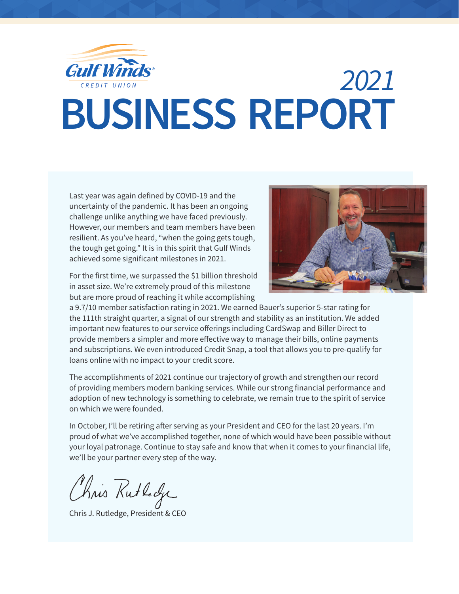

### **BUSINESS REPORT** 2021

Last year was again defined by COVID-19 and the uncertainty of the pandemic. It has been an ongoing challenge unlike anything we have faced previously. However, our members and team members have been resilient. As you've heard, "when the going gets tough, the tough get going." It is in this spirit that Gulf Winds achieved some significant milestones in 2021.



For the first time, we surpassed the \$1 billion threshold in asset size. We're extremely proud of this milestone but are more proud of reaching it while accomplishing

a 9.7/10 member satisfaction rating in 2021. We earned Bauer's superior 5-star rating for the 111th straight quarter, a signal of our strength and stability as an institution. We added important new features to our service offerings including CardSwap and Biller Direct to provide members a simpler and more effective way to manage their bills, online payments and subscriptions. We even introduced Credit Snap, a tool that allows you to pre-qualify for loans online with no impact to your credit score.

The accomplishments of 2021 continue our trajectory of growth and strengthen our record of providing members modern banking services. While our strong financial performance and adoption of new technology is something to celebrate, we remain true to the spirit of service on which we were founded.

In October, I'll be retiring after serving as your President and CEO for the last 20 years. I'm proud of what we've accomplished together, none of which would have been possible without your loyal patronage. Continue to stay safe and know that when it comes to your financial life, we'll be your partner every step of the way.

Chris Rutholje

Chris J. Rutledge, President & CEO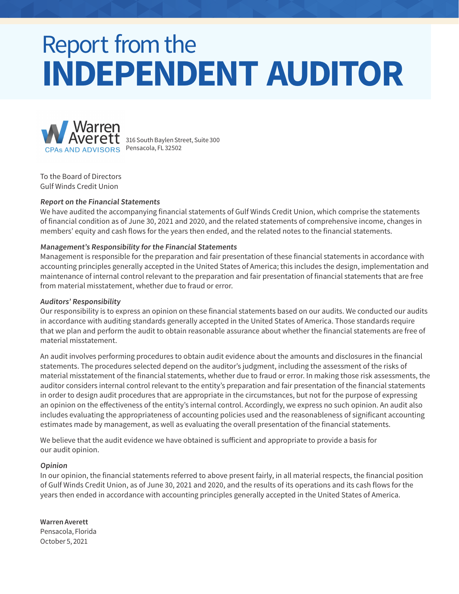### **INDEPENDENT AUDITOR Report from the**



316 South Baylen Street, Suite 300 Pensacola, FL 32502

To the Board of Directors Gulf Winds Credit Union

#### **Report on the Financial Statements**

We have audited the accompanying financial statements of Gulf Winds Credit Union, which comprise the statements of financial condition as of June 30, 2021 and 2020, and the related statements of comprehensive income, changes in members' equity and cash flows for the years then ended, and the related notes to the financial statements.

#### **Management's Responsibility for the Financial Statements**

Management is responsible for the preparation and fair presentation of these financial statements in accordance with Total Reserves Total Assets accounting principles generally accepted in the United States of America; this includes the design, implementation and **\$100** maintenance of internal control relevant to the preparation and fair presentation of financial statements that are free **\$100** from material misstatement, whether due to fraud or error. Total Reserves Total Reserves Total Assets Total Assets The Contract Reserves Total Assets The Contract Reserves Total Assets The Contract Reserves Total Assets The Contract Reserves The Contract Reserves Total Assets The

#### **Auditors' Responsibility**

Our responsibility is to express an opinion on these financial statements based on our audits. We conducted our audits **\$40 \$60** in accordance with auditing standards generally accepted in the United States of America. Those standards require **\$20 \$40** that we plan and perform the audit to obtain reasonable assurance about whether the financial statements are free of<br>material misstatement. material misstatement.

material misstatement.<br>An audit involves performing procedures to obtain audit evidence about the amounts and disclosures in the financial statements. The procedures selected depend on the auditor's judgment, including the assessment of the risks of material misstatement of the financial statements, whether due to fraud or error. In making those risk assessments, the auditor considers internal control relevant to the entity's preparation and fair presentation of the financial statements in order to design audit procedures that are appropriate in the circumstances, but not for the purpose of expressing **\$850 \$1050** an opinion on the effectiveness of the entity's internal control. Accordingly, we express no such opinion. An audit also **\$850** includes evaluating the appropriateness of accounting policies used and the reasonableness of significant accounting **\$650** estimates made by management, as well as evaluating the overall presentation of the financial statements. **\$450 \$650** '19**\$84.1**

We believe that the audit evidence we have obtained is sufficient and appropriate to provide a basis for **\$250** our audit opinion.

#### **Opinion**

In our opinion, the financial statements referred to above present fairly, in all material respects, the financial position '18 of Gulf Winds Credit Union, as of June 30, 2021 and 2020, and the results of its operations and its cash flows for the years then ended in accordance with accounting principles generally accepted in the United States of America.

#### **Warren Averett**

Pensacola, Florida October 5, 2021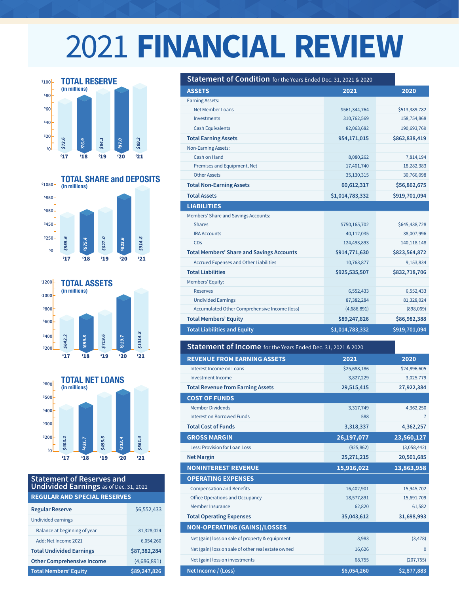# **2021 FINANCIAL REVIEW**









#### **Statement of Reserves and Undivided Earnings** as of Dec. 31, 2021 **REGULAR AND SPECIAL RESERVES**

| <b>Regular Reserve</b>            | \$6,552,433  |
|-----------------------------------|--------------|
| Undivided earnings                |              |
| Balance at beginning of year      | 81,328,024   |
| Add: Net Income 2021              | 6.054.260    |
| <b>Total Undivided Earnings</b>   | \$87,382,284 |
| <b>Other Comprehensive Income</b> | (4,686,891)  |
| <b>Total Members' Equity</b>      | \$89,247,826 |

| <b>ASSETS</b>                                    | 2021            | 2020          |
|--------------------------------------------------|-----------------|---------------|
| <b>Earning Assets:</b>                           |                 |               |
| Net Member Loans                                 | \$561,344,764   | \$513,389,782 |
| Investments                                      | 310,762,569     | 158,754,868   |
| <b>Cash Equivalents</b>                          | 82,063,682      | 190,693,769   |
| <b>Total Earning Assets</b>                      | 954,171,015     | \$862,838,419 |
| <b>Non-Earning Assets:</b>                       |                 |               |
| Cash on Hand                                     | 8,080,262       | 7,814,194     |
| Premises and Equipment, Net                      | 17,401,740      | 18,282,383    |
| <b>Other Assets</b>                              | 35,130,315      | 30,766,098    |
| <b>Total Non-Earning Assets</b>                  | 60,612,317      | \$56,862,675  |
| <b>Total Assets</b>                              | \$1,014,783,332 | \$919,701,094 |
| <b>LIABILITIES</b>                               |                 |               |
| Members' Share and Savings Accounts:             |                 |               |
| <b>Shares</b>                                    | \$750,165,702   | \$645,438,728 |
| <b>IRA Accounts</b>                              | 40,112,035      | 38,007,996    |
| CDs                                              | 124,493,893     | 140,118,148   |
| <b>Total Members' Share and Savings Accounts</b> | \$914,771,630   | \$823,564,872 |
| <b>Accrued Expenses and Other Liabilities</b>    | 10,763,877      | 9,153,834     |
| <b>Total Liabilities</b>                         | \$925,535,507   | \$832,718,706 |
| Members' Equity:                                 |                 |               |
| <b>Reserves</b>                                  | 6,552,433       | 6,552,433     |
| <b>Undivided Earnings</b>                        | 87,382,284      | 81,328,024    |
| Accumulated Other Comprehensive Income (loss)    | (4,686,891)     | (898,069)     |
| <b>Total Members' Equity</b>                     | \$89,247,826    | \$86,982,388  |
| <b>Total Liabilities and Equity</b>              | \$1,014,783,332 | \$919,701,094 |

| Statement of Income for the Years Ended Dec. 31, 2021 & 2020 |              |                |
|--------------------------------------------------------------|--------------|----------------|
| <b>REVENUE FROM EARNING ASSETS</b>                           | 2021         | 2020           |
| Interest Income on Loans                                     | \$25,688,186 | \$24,896,605   |
| <b>Investment Income</b>                                     | 3,827,229    | 3,025,779      |
| <b>Total Revenue from Earning Assets</b>                     | 29,515,415   | 27,922,384     |
| <b>COST OF FUNDS</b>                                         |              |                |
| <b>Member Dividends</b>                                      | 3,317,749    | 4,362,250      |
| <b>Interest on Borrowed Funds</b>                            | 588          | $\overline{7}$ |
| <b>Total Cost of Funds</b>                                   | 3,318,337    | 4,362,257      |
| <b>GROSS MARGIN</b>                                          | 26,197,077   | 23,560,127     |
| <b>Less: Provision for Loan Loss</b>                         | (925, 862)   | (3,058,442)    |
| <b>Net Margin</b>                                            | 25,271,215   | 20,501,685     |
| <b>NONINTEREST REVENUE</b>                                   | 15,916,022   | 13,863,958     |
| <b>OPERATING EXPENSES</b>                                    |              |                |
| <b>Compensation and Benefits</b>                             | 16,402,901   | 15,945,702     |
| <b>Office Operations and Occupancy</b>                       | 18,577,891   | 15,691,709     |
| Member Insurance                                             | 62,820       | 61,582         |
| <b>Total Operating Expenses</b>                              | 35,043,612   | 31,698,993     |
| <b>NON-OPERATING (GAINS)/LOSSES</b>                          |              |                |
| Net (gain) loss on sale of property & equipment              | 3,983        | (3,478)        |
| Net (gain) loss on sale of other real estate owned           | 16,626       | $\Omega$       |
| Net (gain) loss on investments                               | 68,755       | (207, 755)     |
| Net Income / (Loss)                                          | \$6,054,260  | \$2,877,883    |